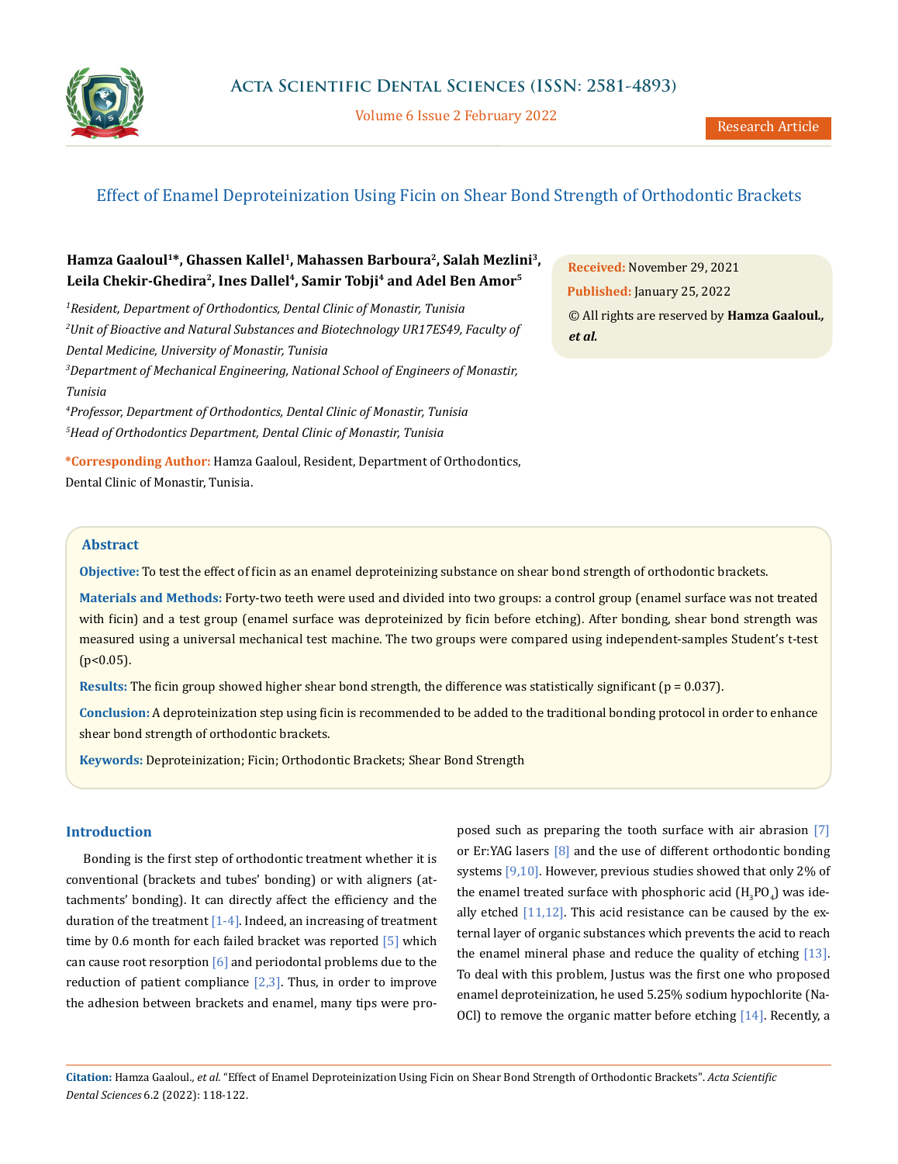

Volume 6 Issue 2 February 2022 Metal Research Article

# Effect of Enamel Deproteinization Using Ficin on Shear Bond Strength of Orthodontic Brackets

# **Hamza Gaaloul1\*, Ghassen Kallel1, Mahassen Barboura2, Salah Mezlini3,**  Leila Chekir-Ghedira<sup>2</sup>, Ines Dallel<sup>4</sup>, Samir Tobji<sup>4</sup> and Adel Ben Amor<sup>5</sup>

*1 Resident, Department of Orthodontics, Dental Clinic of Monastir, Tunisia 2 Unit of Bioactive and Natural Substances and Biotechnology UR17ES49, Faculty of Dental Medicine, University of Monastir, Tunisia 3 Department of Mechanical Engineering, National School of Engineers of Monastir, Tunisia*

*4 Professor, Department of Orthodontics, Dental Clinic of Monastir, Tunisia 5 Head of Orthodontics Department, Dental Clinic of Monastir, Tunisia*

**\*Corresponding Author:** Hamza Gaaloul, Resident, Department of Orthodontics, Dental Clinic of Monastir, Tunisia.

**Received:** November 29, 2021 **Published:** January 25, 2022 © All rights are reserved by **Hamza Gaaloul***., et al.*

# **Abstract**

**Objective:** To test the effect of ficin as an enamel deproteinizing substance on shear bond strength of orthodontic brackets.

**Materials and Methods:** Forty-two teeth were used and divided into two groups: a control group (enamel surface was not treated with ficin) and a test group (enamel surface was deproteinized by ficin before etching). After bonding, shear bond strength was measured using a universal mechanical test machine. The two groups were compared using independent-samples Student's t-test (p<0.05).

**Results:** The ficin group showed higher shear bond strength, the difference was statistically significant (p = 0.037).

**Conclusion:** A deproteinization step using ficin is recommended to be added to the traditional bonding protocol in order to enhance shear bond strength of orthodontic brackets.

**Keywords:** Deproteinization; Ficin; Orthodontic Brackets; Shear Bond Strength

# **Introduction**

Bonding is the first step of orthodontic treatment whether it is conventional (brackets and tubes' bonding) or with aligners (attachments' bonding). It can directly affect the efficiency and the duration of the treatment  $[1-4]$ . Indeed, an increasing of treatment time by 0.6 month for each failed bracket was reported [5] which can cause root resorption  $\lceil 6 \rceil$  and periodontal problems due to the reduction of patient compliance  $[2,3]$ . Thus, in order to improve the adhesion between brackets and enamel, many tips were proposed such as preparing the tooth surface with air abrasion [7] or Er:YAG lasers [8] and the use of different orthodontic bonding systems [9,10]. However, previous studies showed that only 2% of the enamel treated surface with phosphoric acid  $(\mathrm{H_3PO_4})$  was ideally etched  $[11,12]$ . This acid resistance can be caused by the external layer of organic substances which prevents the acid to reach the enamel mineral phase and reduce the quality of etching [13]. To deal with this problem, Justus was the first one who proposed enamel deproteinization, he used 5.25% sodium hypochlorite (Na-OCl) to remove the organic matter before etching [14]. Recently, a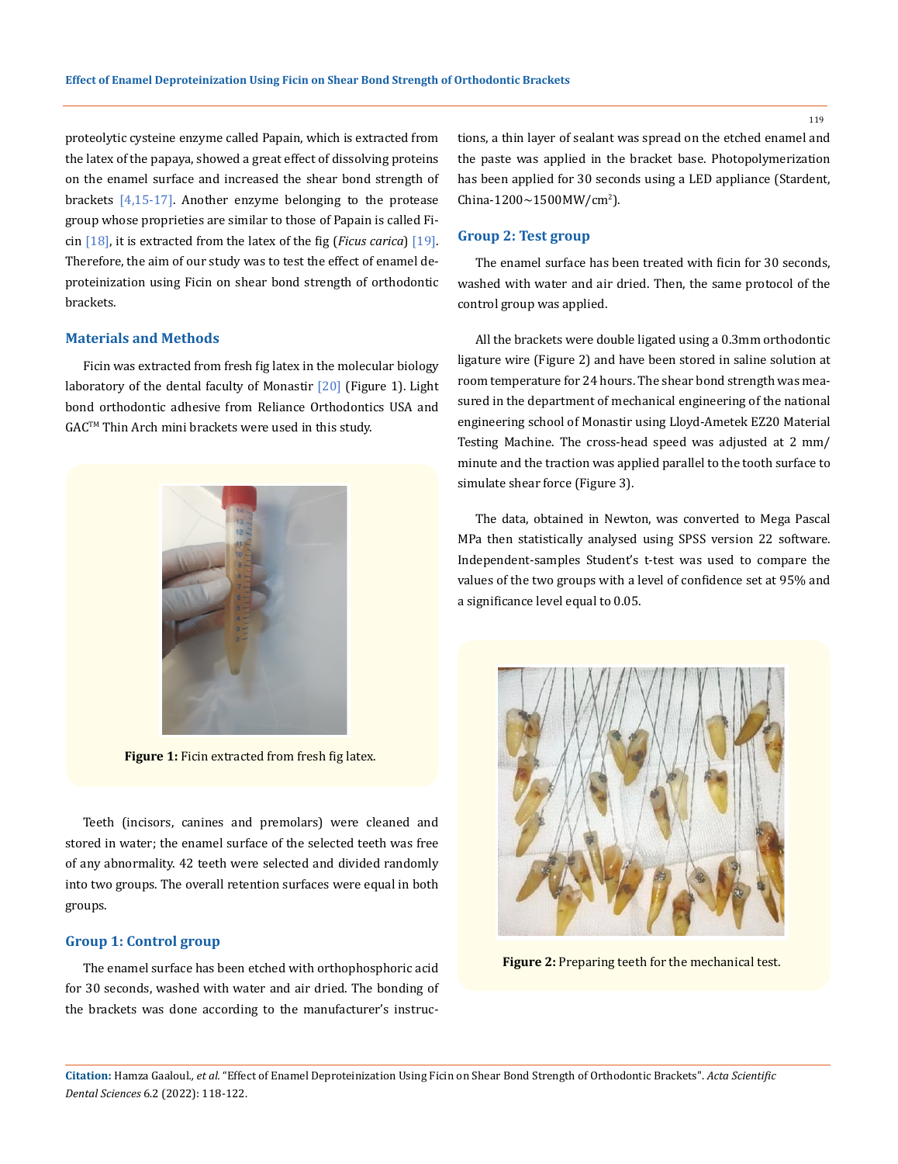proteolytic cysteine enzyme called Papain, which is extracted from the latex of the papaya, showed a great effect of dissolving proteins on the enamel surface and increased the shear bond strength of brackets  $[4,15-17]$ . Another enzyme belonging to the protease group whose proprieties are similar to those of Papain is called Ficin [18], it is extracted from the latex of the fig (*Ficus carica*) [19]. Therefore, the aim of our study was to test the effect of enamel deproteinization using Ficin on shear bond strength of orthodontic brackets.

## **Materials and Methods**

Ficin was extracted from fresh fig latex in the molecular biology laboratory of the dental faculty of Monastir [20] (Figure 1). Light bond orthodontic adhesive from Reliance Orthodontics USA and GAC<sup>™</sup> Thin Arch mini brackets were used in this study.



**Figure 1:** Ficin extracted from fresh fig latex.

Teeth (incisors, canines and premolars) were cleaned and stored in water; the enamel surface of the selected teeth was free of any abnormality. 42 teeth were selected and divided randomly into two groups. The overall retention surfaces were equal in both groups.

### **Group 1: Control group**

The enamel surface has been etched with orthophosphoric acid for 30 seconds, washed with water and air dried. The bonding of the brackets was done according to the manufacturer's instructions, a thin layer of sealant was spread on the etched enamel and the paste was applied in the bracket base. Photopolymerization has been applied for 30 seconds using a LED appliance (Stardent,  $China-1200\sim1500MW/cm^2$ ).

#### **Group 2: Test group**

The enamel surface has been treated with ficin for 30 seconds, washed with water and air dried. Then, the same protocol of the control group was applied.

All the brackets were double ligated using a 0.3mm orthodontic ligature wire (Figure 2) and have been stored in saline solution at room temperature for 24 hours. The shear bond strength was measured in the department of mechanical engineering of the national engineering school of Monastir using Lloyd-Ametek EZ20 Material Testing Machine. The cross-head speed was adjusted at 2 mm/ minute and the traction was applied parallel to the tooth surface to simulate shear force (Figure 3).

The data, obtained in Newton, was converted to Mega Pascal MPa then statistically analysed using SPSS version 22 software. Independent-samples Student's t-test was used to compare the values of the two groups with a level of confidence set at 95% and a significance level equal to 0.05.



**Figure 2:** Preparing teeth for the mechanical test.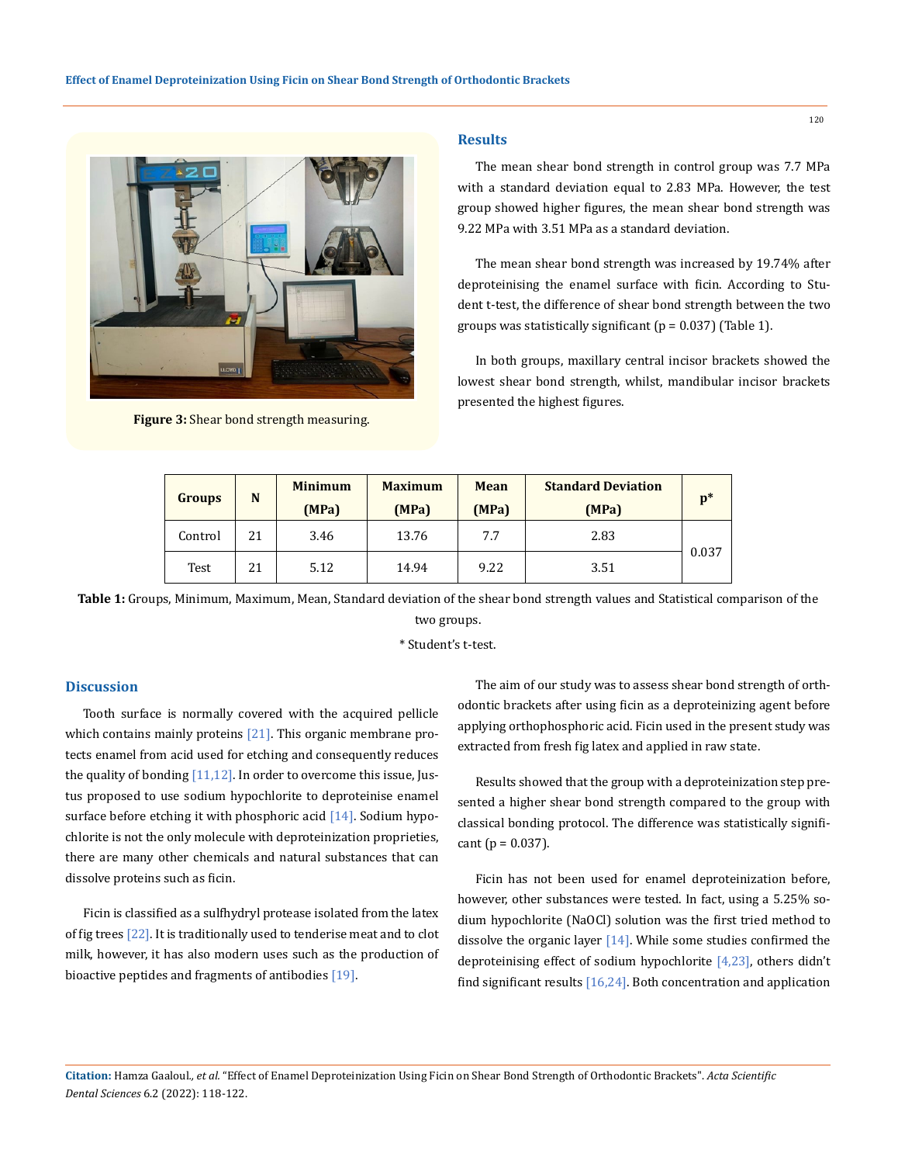

**Figure 3:** Shear bond strength measuring.

#### **Results**

The mean shear bond strength in control group was 7.7 MPa with a standard deviation equal to 2.83 MPa. However, the test group showed higher figures, the mean shear bond strength was 9.22 MPa with 3.51 MPa as a standard deviation.

The mean shear bond strength was increased by 19.74% after deproteinising the enamel surface with ficin. According to Student t-test, the difference of shear bond strength between the two groups was statistically significant ( $p = 0.037$ ) (Table 1).

In both groups, maxillary central incisor brackets showed the lowest shear bond strength, whilst, mandibular incisor brackets presented the highest figures.

| <b>Groups</b> | N  | <b>Minimum</b> | <b>Maximum</b> | <b>Mean</b> | <b>Standard Deviation</b> | $\mathbf{p}^*$ |
|---------------|----|----------------|----------------|-------------|---------------------------|----------------|
|               |    | (MPa)          | (MPa)          | (MPa)       | (MPa)                     |                |
| Control       | 21 | 3.46           | 13.76          | 7.7         | 2.83                      | 0.037          |
| Test          | 21 | 5.12           | 14.94          | 9.22        | 3.51                      |                |

**Table 1:** Groups, Minimum, Maximum, Mean, Standard deviation of the shear bond strength values and Statistical comparison of the two groups.

\* Student's t-test.

### **Discussion**

Tooth surface is normally covered with the acquired pellicle which contains mainly proteins  $[21]$ . This organic membrane protects enamel from acid used for etching and consequently reduces the quality of bonding  $[11,12]$ . In order to overcome this issue, Justus proposed to use sodium hypochlorite to deproteinise enamel surface before etching it with phosphoric acid  $[14]$ . Sodium hypochlorite is not the only molecule with deproteinization proprieties, there are many other chemicals and natural substances that can dissolve proteins such as ficin.

Ficin is classified as a sulfhydryl protease isolated from the latex of fig trees [22]. It is traditionally used to tenderise meat and to clot milk, however, it has also modern uses such as the production of bioactive peptides and fragments of antibodies [19].

The aim of our study was to assess shear bond strength of orthodontic brackets after using ficin as a deproteinizing agent before applying orthophosphoric acid. Ficin used in the present study was extracted from fresh fig latex and applied in raw state.

Results showed that the group with a deproteinization step presented a higher shear bond strength compared to the group with classical bonding protocol. The difference was statistically signifi $cant (p = 0.037).$ 

Ficin has not been used for enamel deproteinization before, however, other substances were tested. In fact, using a 5.25% sodium hypochlorite (NaOCl) solution was the first tried method to dissolve the organic layer [14]. While some studies confirmed the deproteinising effect of sodium hypochlorite [4,23], others didn't find significant results  $[16,24]$ . Both concentration and application

**Citation:** Hamza Gaaloul*., et al.* "Effect of Enamel Deproteinization Using Ficin on Shear Bond Strength of Orthodontic Brackets". *Acta Scientific Dental Sciences* 6.2 (2022): 118-122.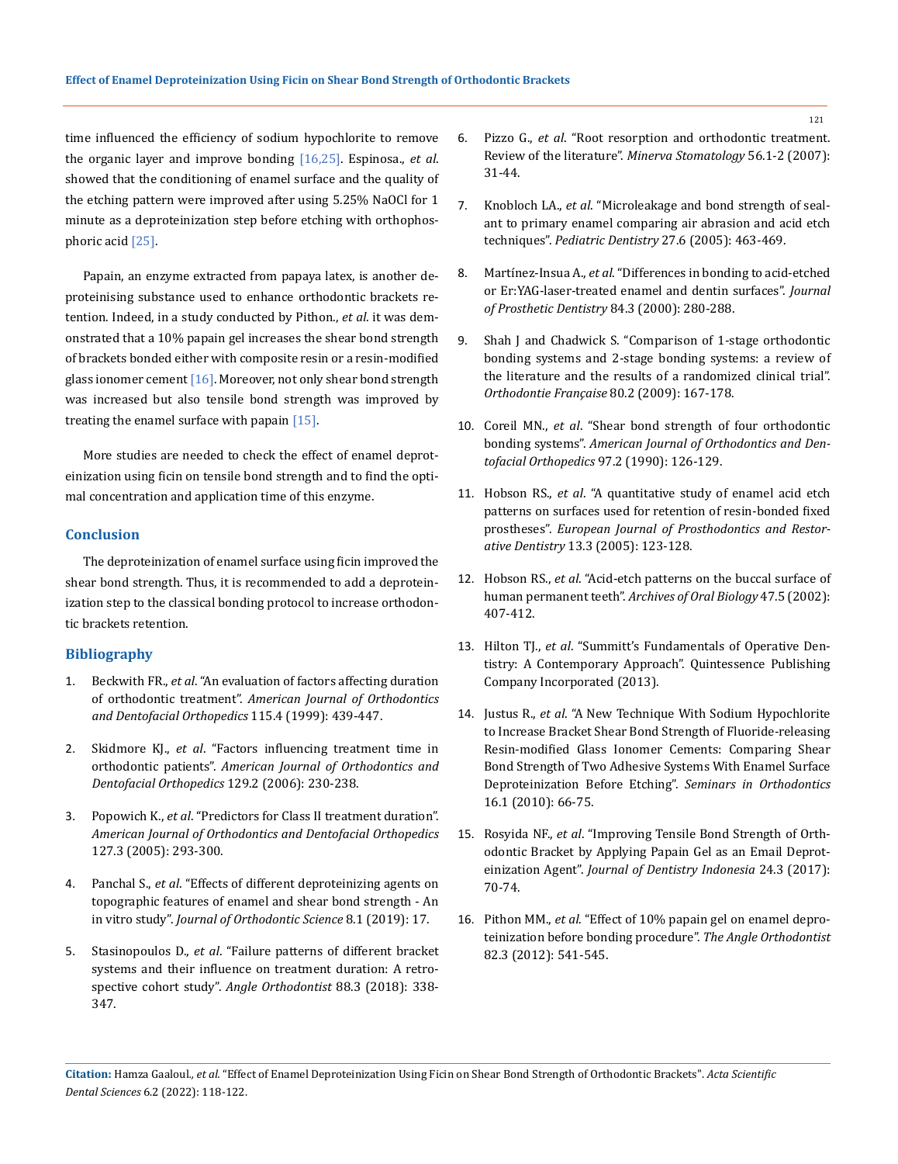time influenced the efficiency of sodium hypochlorite to remove the organic layer and improve bonding [16,25]. Espinosa., *et al*. showed that the conditioning of enamel surface and the quality of the etching pattern were improved after using 5.25% NaOCl for 1 minute as a deproteinization step before etching with orthophosphoric acid [25].

Papain, an enzyme extracted from papaya latex, is another deproteinising substance used to enhance orthodontic brackets retention. Indeed, in a study conducted by Pithon., *et al*. it was demonstrated that a 10% papain gel increases the shear bond strength of brackets bonded either with composite resin or a resin-modified glass ionomer cement  $[16]$ . Moreover, not only shear bond strength was increased but also tensile bond strength was improved by treating the enamel surface with papain  $[15]$ .

More studies are needed to check the effect of enamel deproteinization using ficin on tensile bond strength and to find the optimal concentration and application time of this enzyme.

#### **Conclusion**

The deproteinization of enamel surface using ficin improved the shear bond strength. Thus, it is recommended to add a deproteinization step to the classical bonding protocol to increase orthodontic brackets retention.

## **Bibliography**

- 1. Beckwith FR., *et al*[. "An evaluation of factors affecting duration](https://pubmed.ncbi.nlm.nih.gov/10194290/)  of orthodontic treatment". *[American Journal of Orthodontics](https://pubmed.ncbi.nlm.nih.gov/10194290/)  [and Dentofacial Orthopedics](https://pubmed.ncbi.nlm.nih.gov/10194290/)* 115.4 (1999): 439-447.
- 2. Skidmore KJ., *et al*[. "Factors influencing treatment time in](https://pubmed.ncbi.nlm.nih.gov/16473715/)  orthodontic patients". *[American Journal of Orthodontics and](https://pubmed.ncbi.nlm.nih.gov/16473715/)  [Dentofacial Orthopedics](https://pubmed.ncbi.nlm.nih.gov/16473715/)* 129.2 (2006): 230-238.
- 3. Popowich K., *et al*[. "Predictors for Class II treatment duration".](https://pubmed.ncbi.nlm.nih.gov/15775943/)  *[American Journal of Orthodontics and Dentofacial Orthopedics](https://pubmed.ncbi.nlm.nih.gov/15775943/)* [127.3 \(2005\): 293-300.](https://pubmed.ncbi.nlm.nih.gov/15775943/)
- 4. Panchal S., *et al*[. "Effects of different deproteinizing agents on](https://www.ncbi.nlm.nih.gov/pmc/articles/PMC6803782/)  [topographic features of enamel and shear bond strength - An](https://www.ncbi.nlm.nih.gov/pmc/articles/PMC6803782/)  in vitro study". *[Journal of Orthodontic Science](https://www.ncbi.nlm.nih.gov/pmc/articles/PMC6803782/)* 8.1 (2019): 17.
- 5. Stasinopoulos D., *et al*[. "Failure patterns of different bracket](https://pubmed.ncbi.nlm.nih.gov/29394090/)  [systems and their influence on treatment duration: A retro](https://pubmed.ncbi.nlm.nih.gov/29394090/)[spective cohort study".](https://pubmed.ncbi.nlm.nih.gov/29394090/) *Angle Orthodontist* 88.3 (2018): 338- [347.](https://pubmed.ncbi.nlm.nih.gov/29394090/)
- 6. Pizzo G., *et al*[. "Root resorption and orthodontic treatment.](https://pubmed.ncbi.nlm.nih.gov/17287705/)  Review of the literature". *[Minerva Stomatology](https://pubmed.ncbi.nlm.nih.gov/17287705/)* 56.1-2 (2007): [31-44.](https://pubmed.ncbi.nlm.nih.gov/17287705/)
- 7. Knobloch LA., *et al*[. "Microleakage and bond strength of seal](https://pubmed.ncbi.nlm.nih.gov/16532886/)[ant to primary enamel comparing air abrasion and acid etch](https://pubmed.ncbi.nlm.nih.gov/16532886/)  techniques". *[Pediatric Dentistry](https://pubmed.ncbi.nlm.nih.gov/16532886/)* 27.6 (2005): 463-469.
- 8. Martínez-Insua A., *et al*[. "Differences in bonding to acid-etched](https://pubmed.ncbi.nlm.nih.gov/11005900/)  [or Er:YAG-laser-treated enamel and dentin surfaces".](https://pubmed.ncbi.nlm.nih.gov/11005900/) *Journal [of Prosthetic Dentistry](https://pubmed.ncbi.nlm.nih.gov/11005900/)* 84.3 (2000): 280-288.
- 9. [Shah J and Chadwick S. "Comparison of 1-stage orthodontic](https://pubmed.ncbi.nlm.nih.gov/19552876/)  [bonding systems and 2-stage bonding systems: a review of](https://pubmed.ncbi.nlm.nih.gov/19552876/)  [the literature and the results of a randomized clinical trial".](https://pubmed.ncbi.nlm.nih.gov/19552876/)  *[Orthodontie Française](https://pubmed.ncbi.nlm.nih.gov/19552876/)* 80.2 (2009): 167-178.
- 10. Coreil MN., *et al*[. "Shear bond strength of four orthodontic](https://pubmed.ncbi.nlm.nih.gov/2405634/)  bonding systems". *[American Journal of Orthodontics and Den](https://pubmed.ncbi.nlm.nih.gov/2405634/)[tofacial Orthopedics](https://pubmed.ncbi.nlm.nih.gov/2405634/)* 97.2 (1990): 126-129.
- 11. Hobson RS., *et al*[. "A quantitative study of enamel acid etch](https://pubmed.ncbi.nlm.nih.gov/16180638/)  [patterns on surfaces used for retention of resin-bonded fixed](https://pubmed.ncbi.nlm.nih.gov/16180638/)  prostheses". *[European Journal of Prosthodontics and Restor](https://pubmed.ncbi.nlm.nih.gov/16180638/)ative Dentistry* [13.3 \(2005\): 123-128.](https://pubmed.ncbi.nlm.nih.gov/16180638/)
- 12. Hobson RS., *et al*[. "Acid-etch patterns on the buccal surface of](https://pubmed.ncbi.nlm.nih.gov/12015222/)  human permanent teeth". *[Archives of Oral Biology](https://pubmed.ncbi.nlm.nih.gov/12015222/)* 47.5 (2002): [407-412.](https://pubmed.ncbi.nlm.nih.gov/12015222/)
- 13. Hilton TJ., *et al*[. "Summitt's Fundamentals of Operative Den](https://books.google.tn/books?id=z-8mmQEACAAJ)[tistry: A Contemporary Approach". Quintessence Publishing](https://books.google.tn/books?id=z-8mmQEACAAJ)  [Company Incorporated \(2013\).](https://books.google.tn/books?id=z-8mmQEACAAJ)
- 14. Justus R., *et al*[. "A New Technique With Sodium Hypochlorite](https://www.sciencedirect.com/science/article/abs/pii/S1073874609000796)  [to Increase Bracket Shear Bond Strength of Fluoride-releasing](https://www.sciencedirect.com/science/article/abs/pii/S1073874609000796)  [Resin-modified Glass Ionomer Cements: Comparing Shear](https://www.sciencedirect.com/science/article/abs/pii/S1073874609000796)  [Bond Strength of Two Adhesive Systems With Enamel Surface](https://www.sciencedirect.com/science/article/abs/pii/S1073874609000796)  [Deproteinization Before Etching".](https://www.sciencedirect.com/science/article/abs/pii/S1073874609000796) *Seminars in Orthodontics*  [16.1 \(2010\): 66-75.](https://www.sciencedirect.com/science/article/abs/pii/S1073874609000796)
- 15. Rosyida NF., *et al*[. "Improving Tensile Bond Strength of Orth](https://www.researchgate.net/publication/322330449_Improving_Tensile_Bond_Strength_of_Orthodontic_Bracket_by_Applying_Papain_Gel_as_an_Email_Deproteinization_Agent)[odontic Bracket by Applying Papain Gel as an Email Deprot](https://www.researchgate.net/publication/322330449_Improving_Tensile_Bond_Strength_of_Orthodontic_Bracket_by_Applying_Papain_Gel_as_an_Email_Deproteinization_Agent)einization Agent". *[Journal of Dentistry Indonesia](https://www.researchgate.net/publication/322330449_Improving_Tensile_Bond_Strength_of_Orthodontic_Bracket_by_Applying_Papain_Gel_as_an_Email_Deproteinization_Agent)* 24.3 (2017): [70-74.](https://www.researchgate.net/publication/322330449_Improving_Tensile_Bond_Strength_of_Orthodontic_Bracket_by_Applying_Papain_Gel_as_an_Email_Deproteinization_Agent)
- 16. Pithon MM., *et al*[. "Effect of 10% papain gel on enamel depro](https://pubmed.ncbi.nlm.nih.gov/22077189/)[teinization before bonding procedure".](https://pubmed.ncbi.nlm.nih.gov/22077189/) *The Angle Orthodontist*  [82.3 \(2012\): 541-545.](https://pubmed.ncbi.nlm.nih.gov/22077189/)

**Citation:** Hamza Gaaloul*., et al.* "Effect of Enamel Deproteinization Using Ficin on Shear Bond Strength of Orthodontic Brackets". *Acta Scientific Dental Sciences* 6.2 (2022): 118-122.